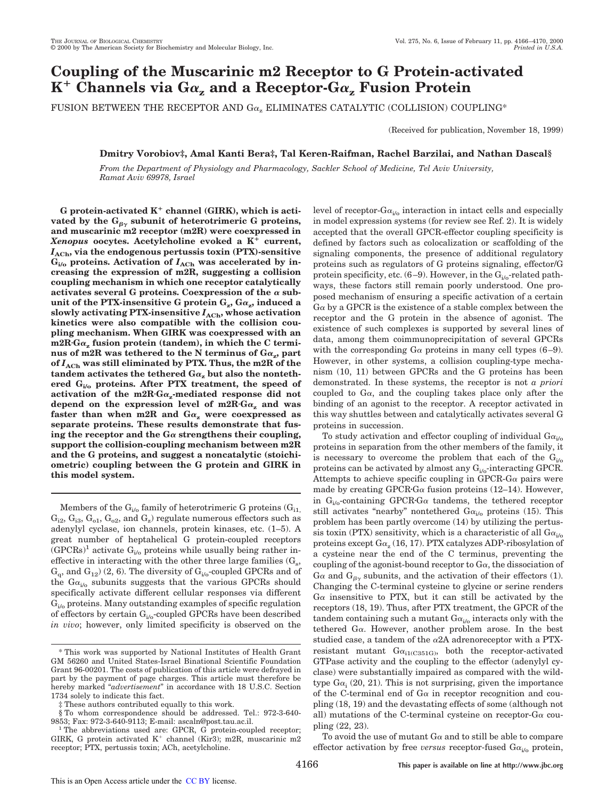# **Coupling of the Muscarinic m2 Receptor to G Protein-activated K** <sup>1</sup> **Channels via G**<sup>a</sup>**<sup>z</sup> and a Receptor-G**<sup>a</sup>**<sup>z</sup> Fusion Protein**

FUSION BETWEEN THE RECEPTOR AND  $Ga_x$  ELIMINATES CATALYTIC (COLLISION) COUPLING\*

(Received for publication, November 18, 1999)

## **Dmitry Vorobiov‡, Amal Kanti Bera‡, Tal Keren-Raifman, Rachel Barzilai, and Nathan Dascal§**

*From the Department of Physiology and Pharmacology, Sackler School of Medicine, Tel Aviv University, Ramat Aviv 69978, Israel*

G protein-activated K<sup>+</sup> channel (GIRK), which is activated by the  $G_{\beta\gamma}$  subunit of heterotrimeric G proteins, **and muscarinic m2 receptor (m2R) were coexpressed in**  $Xenopus$  oocytes. Acetylcholine evoked a  $K^{\tilde{+}}$  current, *I***ACh, via the endogenous pertussis toxin (PTX)-sensitive**  $G_{i/o}$  proteins. Activation of  $I_{\text{ACh}}$  was accelerated by in**creasing the expression of m2R, suggesting a collision coupling mechanism in which one receptor catalytically** activates several G proteins. Coexpression of the  $\alpha$  sub- $\tanit$  of the PTX-insensitive G protein  $\mathrm{G}_{\mathrm{z}},\mathrm{G}\alpha_{\mathrm{z}},$  induced a **slowly activating PTX-insensitive** *I***ACh, whose activation kinetics were also compatible with the collision coupling mechanism. When GIRK was coexpressed with an** m2R·G $\alpha$ <sub>z</sub> fusion protein (tandem), in which the C termi- ${\bf n}$ us of m2R was tethered to the N terminus of  ${\bf G}\alpha_{\bf z}$ ,  ${\bf p}$ art **of** *I***ACh was still eliminated by PTX. Thus, the m2R of the** tandem activates the tethered  $Ga_z$  but also the nonteth**ered Gi/o proteins. After PTX treatment, the speed of** activation of the  $m2R \cdot G\alpha_z$ -mediated response did not depend on the expression level of  $m2R$ <sup>*n*</sup> $Ga$ <sub>z</sub> and was faster than when m2R and  $Ga$ <sub>z</sub> were coexpressed as **separate proteins. These results demonstrate that fus**ing the receptor and the  $G\alpha$  strengthens their coupling, **support the collision-coupling mechanism between m2R and the G proteins, and suggest a noncatalytic (stoichiometric) coupling between the G protein and GIRK in this model system.**

Members of the  $G_{i/0}$  family of heterotrimeric G proteins  $(G_{i1)}$  $\rm G_{i2},$   $\rm G_{i3},$   $\rm G_{o1},$   $\rm G_{o2},$  and  $\rm G_{z}$ ) regulate numerous effectors such as adenylyl cyclase, ion channels, protein kinases, etc. (1–5). A great number of heptahelical G protein-coupled receptors  $(GPCRs)^1$  activate  $G_{i/o}$  proteins while usually being rather ineffective in interacting with the other three large families  $(G_s,$  $G_q$ , and  $G_{12}$ ) (2, 6). The diversity of  $G_{i/o}$ -coupled GPCRs and of the  $Ga_{i/0}$  subunits suggests that the various GPCRs should specifically activate different cellular responses via different  $G_{i\prime o}$  proteins. Many outstanding examples of specific regulation of effectors by certain  $G_{i/o}$ -coupled GPCRs have been described *in vivo*; however, only limited specificity is observed on the

level of receptor- $Ga_{i/o}$  interaction in intact cells and especially in model expression systems (for review see Ref. 2). It is widely accepted that the overall GPCR-effector coupling specificity is defined by factors such as colocalization or scaffolding of the signaling components, the presence of additional regulatory proteins such as regulators of G proteins signaling, effector/G protein specificity, etc.  $(6-9)$ . However, in the  $G_{i/6}$ -related pathways, these factors still remain poorly understood. One proposed mechanism of ensuring a specific activation of a certain  $G\alpha$  by a GPCR is the existence of a stable complex between the receptor and the G protein in the absence of agonist. The existence of such complexes is supported by several lines of data, among them coimmunoprecipitation of several GPCRs with the corresponding  $G\alpha$  proteins in many cell types (6–9). However, in other systems, a collision coupling-type mechanism (10, 11) between GPCRs and the G proteins has been demonstrated. In these systems, the receptor is not *a priori* coupled to  $Ga$ , and the coupling takes place only after the binding of an agonist to the receptor. A receptor activated in this way shuttles between and catalytically activates several G proteins in succession.

To study activation and effector coupling of individual  $Ga_{i\omega}$ proteins in separation from the other members of the family, it is necessary to overcome the problem that each of the  $G_{i/o}$ proteins can be activated by almost any  $G_{i/o}$ -interacting GPCR. Attempts to achieve specific coupling in GPCR-G $\alpha$  pairs were made by creating GPCR $G\alpha$  fusion proteins (12–14). However, in  $G_{i/\sigma}$ -containing GPCR·G $\alpha$  tandems, the tethered receptor still activates "nearby" nontethered  $Ga_{i/0}$  proteins (15). This problem has been partly overcome (14) by utilizing the pertussis toxin (PTX) sensitivity, which is a characteristic of all  $Ga_{i/o}$ proteins except  $\text{G}\alpha_{\text{z}}$  (16, 17). PTX catalyzes ADP-ribosylation of a cysteine near the end of the C terminus, preventing the coupling of the agonist-bound receptor to  $G_{\alpha}$ , the dissociation of  $G\alpha$  and  $G_{\beta\gamma}$  subunits, and the activation of their effectors (1). Changing the C-terminal cysteine to glycine or serine renders  $G\alpha$  insensitive to PTX, but it can still be activated by the receptors (18, 19). Thus, after PTX treatment, the GPCR of the tandem containing such a mutant  $Ga_{i/0}$  interacts only with the tethered Ga. However, another problem arose. In the best studied case, a tandem of the  $\alpha$ 2A adrenoreceptor with a PTXresistant mutant  $Ga_{i1(C351G)}$ , both the receptor-activated GTPase activity and the coupling to the effector (adenylyl cyclase) were substantially impaired as compared with the wildtype  $Ga<sub>i</sub>$  (20, 21). This is not surprising, given the importance of the C-terminal end of  $G\alpha$  in receptor recognition and coupling (18, 19) and the devastating effects of some (although not all) mutations of the C-terminal cysteine on receptor-G $\alpha$  coupling (22, 23).

To avoid the use of mutant  $G\alpha$  and to still be able to compare effector activation by free *versus* receptor-fused  $G\alpha_{i\ell}$  protein,

<sup>\*</sup> This work was supported by National Institutes of Health Grant GM 56260 and United States-Israel Binational Scientific Foundation Grant 96-00201. The costs of publication of this article were defrayed in part by the payment of page charges. This article must therefore be hereby marked "*advertisement*" in accordance with 18 U.S.C. Section 1734 solely to indicate this fact.

These authors contributed equally to this work.

<sup>§</sup> To whom correspondence should be addressed. Tel.: 972-3-640- 9853; Fax: 972-3-640-9113; E-mail: ascaln@post.tau.ac.il.

The abbreviations used are: GPCR, G protein-coupled receptor; GIRK, G protein activated  $K^+$  channel (Kir3); m2R, muscarinic m2 receptor; PTX, pertussis toxin; ACh, acetylcholine.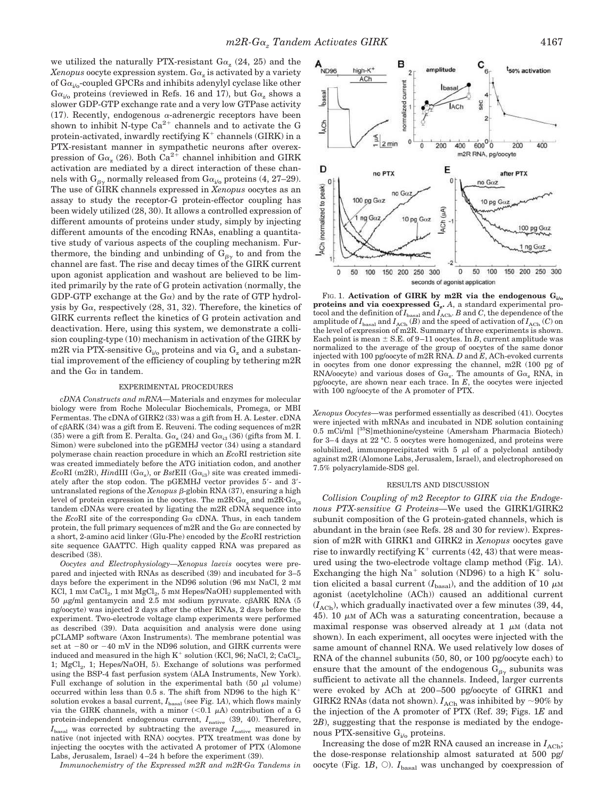we utilized the naturally PTX-resistant  $Ga_z$  (24, 25) and the  $Xenopus$  oocyte expression system.  $\text{G}\alpha_{\text{z}}$  is activated by a variety of  $Ga_{i/o}$ -coupled GPCRs and inhibits adenylyl cyclase like other  $Ga_{i/0}$  proteins (reviewed in Refs. 16 and 17), but  $Ga_{z}$  shows a slower GDP-GTP exchange rate and a very low GTPase activity (17). Recently, endogenous  $\alpha$ -adrenergic receptors have been shown to inhibit N-type  $Ca^{2+}$  channels and to activate the G protein-activated, inwardly rectifying  $K^+$  channels (GIRK) in a PTX-resistant manner in sympathetic neurons after overexpression of  $Ga_z(26)$ . Both  $Ca^{2+}$  channel inhibition and GIRK activation are mediated by a direct interaction of these channels with  $G_{\beta\gamma}$  normally released from  $Ga_{i\prime}$  proteins (4, 27–29). The use of GIRK channels expressed in *Xenopus* oocytes as an assay to study the receptor-G protein-effector coupling has been widely utilized (28, 30). It allows a controlled expression of different amounts of proteins under study, simply by injecting different amounts of the encoding RNAs, enabling a quantitative study of various aspects of the coupling mechanism. Furthermore, the binding and unbinding of  $G_{\beta\gamma}$  to and from the channel are fast. The rise and decay times of the GIRK current upon agonist application and washout are believed to be limited primarily by the rate of G protein activation (normally, the GDP-GTP exchange at the  $G\alpha$  and by the rate of GTP hydrolysis by  $Ga$ , respectively  $(28, 31, 32)$ . Therefore, the kinetics of GIRK currents reflect the kinetics of G protein activation and deactivation. Here, using this system, we demonstrate a collision coupling-type (10) mechanism in activation of the GIRK by m2R via PTX-sensitive  $G_{i,o}$  proteins and via  $G_z$  and a substantial improvement of the efficiency of coupling by tethering m2R and the  $G\alpha$  in tandem.

#### EXPERIMENTAL PROCEDURES

*cDNA Constructs and mRNA—*Materials and enzymes for molecular biology were from Roche Molecular Biochemicals, Promega, or MBI Fermentas. The cDNA of GIRK2 (33) was a gift from H. A. Lester. cDNA of  $c\beta ARK$  (34) was a gift from E. Reuveni. The coding sequences of m2R (35) were a gift from E. Peralta.  $G\alpha_z(24)$  and  $G\alpha_{i3}(36)$  (gifts from M. I. Simon) were subcloned into the pGEMHJ vector (34) using a standard polymerase chain reaction procedure in which an *Eco*RI restriction site was created immediately before the ATG initiation codon, and another  $EcoRI$  (m2R),  $HindIII$  (G $\alpha_z$ ), or  $BstEH$  (G $\alpha_{i3}$ ) site was created immediately after the stop codon. The pGEMHJ vector provides 5'- and 3'untranslated regions of the *Xenopus*  $\beta$ -globin RNA (37), ensuring a high level of protein expression in the oocytes. The m2R·G $\alpha_z$  and m2R·G $\alpha_{i3}$ tandem cDNAs were created by ligating the m2R cDNA sequence into the *Eco*RI site of the corresponding  $G\alpha$  cDNA. Thus, in each tandem protein, the full primary sequences of m2R and the  $G\alpha$  are connected by a short, 2-amino acid linker (Glu-Phe) encoded by the *Eco*RI restriction site sequence GAATTC. High quality capped RNA was prepared as described (38).

*Oocytes and Electrophysiology—Xenopus laevis* oocytes were prepared and injected with RNAs as described (39) and incubated for 3–5 days before the experiment in the ND96 solution (96 mm NaCl, 2 mm KCl, 1 mm  $\rm CaCl_2$ , 1 mm  $\rm MgCl_2$ , 5 mm Hepes/NaOH) supplemented with 50  $\mu$ g/ml gentamycin and 2.5 mM sodium pyruvate. c $\beta$ ARK RNA (5 ng/oocyte) was injected 2 days after the other RNAs, 2 days before the experiment. Two-electrode voltage clamp experiments were performed as described (39). Data acquisition and analysis were done using pCLAMP software (Axon Instruments). The membrane potential was set at  $-80$  or  $-40$  mV in the ND96 solution, and GIRK currents were induced and measured in the high  $K^+$  solution (KCl, 96; NaCl, 2; CaCl<sub>2</sub>, 1; MgCl<sub>2</sub>, 1; Hepes/NaOH, 5). Exchange of solutions was performed using the BSP-4 fast perfusion system (ALA Instruments, New York). Full exchange of solution in the experimental bath  $(50 \mu)$  volume) occurred within less than 0.5 s. The shift from ND96 to the high  $K^+$ solution evokes a basal current,  $I_{\text{basal}}$  (see Fig. 1A), which flows mainly via the GIRK channels, with a minor  $(<0.1 \mu A)$  contribution of a G protein-independent endogenous current,  $I_{\text{native}}$  (39, 40). Therefore, *I*<sub>basal</sub> was corrected by subtracting the average *I*<sub>native</sub> measured in native (not injected with RNA) oocytes. PTX treatment was done by injecting the oocytes with the activated A protomer of PTX (Alomone Labs, Jerusalem, Israel) 4–24 h before the experiment (39).

*Immunochemistry of the Expressed m2R and m2R<sup><i>·Ga Tandems in*</sup>



FIG. 1. Activation of GIRK by m2R via the endogenous  $G_{i/2}$ **proteins and via coexpressed G<sup>z</sup> .** *A*, a standard experimental protocol and the definition of  $I_{\text{basal}}$  and  $I_{\text{ACh}}$ . *B* and *C*, the dependence of the amplitude of  $I_{\text{basal}}$  and  $I_{\text{ACh}}$  (*B*) and the speed of activation of  $I_{\text{ACh}}$  (*C*) on the level of expression of m2R. Summary of three experiments is shown. Each point is mean  $\pm$  S.E. of 9–11 oocytes. In *B*, current amplitude was normalized to the average of the group of oocytes of the same donor injected with 100 pg/oocyte of m2R RNA. *D* and *E*, ACh-evoked currents in oocytes from one donor expressing the channel, m2R (100 pg of RNA/oocyte) and various doses of  $Ga_z$ . The amounts of  $Ga_z$  RNA, in pg/oocyte, are shown near each trace. In *E*, the oocytes were injected with 100 ng/oocyte of the A promoter of PTX.

*Xenopus Oocytes—*was performed essentially as described (41). Oocytes were injected with mRNAs and incubated in NDE solution containing 0.5 mCi/ml [35S]methionine/cysteine (Amersham Pharmacia Biotech) for 3–4 days at 22 °C. 5 oocytes were homogenized, and proteins were solubilized, immunoprecipitated with  $5 \mu l$  of a polyclonal antibody against m2R (Alomone Labs, Jerusalem, Israel), and electrophoresed on 7.5% polyacrylamide-SDS gel.

### RESULTS AND DISCUSSION

*Collision Coupling of m2 Receptor to GIRK via the Endogenous PTX-sensitive G Proteins—*We used the GIRK1/GIRK2 subunit composition of the G protein-gated channels, which is abundant in the brain (see Refs. 28 and 30 for review). Expression of m2R with GIRK1 and GIRK2 in *Xenopus* oocytes gave rise to inwardly rectifying  $K^+$  currents (42, 43) that were measured using the two-electrode voltage clamp method (Fig. 1*A*). Exchanging the high  $Na^+$  solution (ND96) to a high  $K^+$  solution elicited a basal current  $(I_{\text{basal}})$ , and the addition of 10  $\mu$ M agonist (acetylcholine (ACh)) caused an additional current  $(I<sub>ACh</sub>)$ , which gradually inactivated over a few minutes (39, 44, 45). 10  $\mu$ M of ACh was a saturating concentration, because a maximal response was observed already at  $1 \mu$ M (data not shown). In each experiment, all oocytes were injected with the same amount of channel RNA. We used relatively low doses of RNA of the channel subunits (50, 80, or 100 pg/oocyte each) to ensure that the amount of the endogenous  $G_{\beta\gamma}$  subunits was sufficient to activate all the channels. Indeed, larger currents were evoked by ACh at 200–500 pg/oocyte of GIRK1 and GIRK2 RNAs (data not shown).  $I_{\rm{ACh}}$  was inhibited by  $\sim$ 90% by the injection of the A promoter of PTX (Ref. 39; Figs. 1*E* and 2*B*), suggesting that the response is mediated by the endogenous PTX-sensitive  $G_{i/o}$  proteins.

Increasing the dose of m2R RNA caused an increase in  $I<sub>ACb</sub>$ ; the dose-response relationship almost saturated at 500 pg/ oocyte (Fig. 1*B*,  $\bigcirc$ ). *I*<sub>basal</sub> was unchanged by coexpression of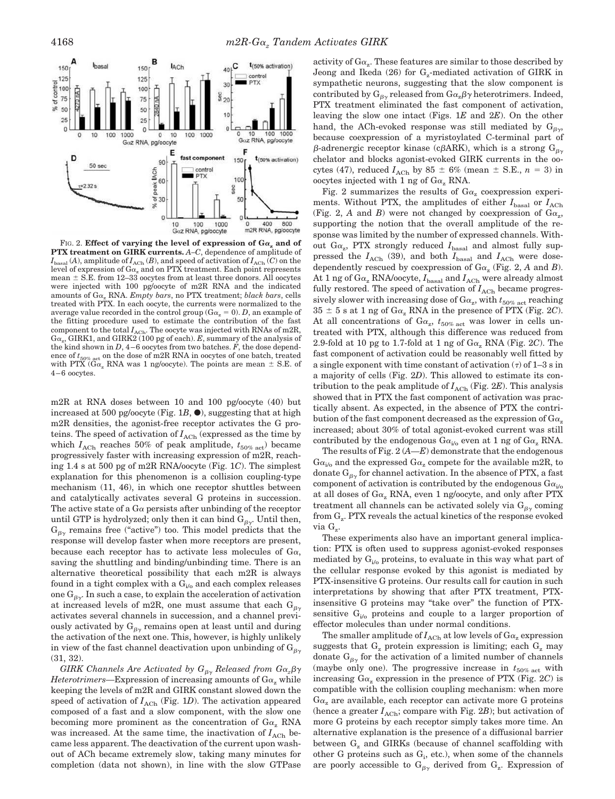

FIG. 2. **Effect of varying the level of expression of**  $Ga_z$  **and of PTX treatment on GIRK currents.** *A–C*, dependence of amplitude of  $I_{\text{basal}}(A)$ , amplitude of  $I_{\text{ACh}}(B)$ , and speed of activation of  $I_{\text{ACh}}(C)$  on the level of expression of  $G\alpha_z$  and on PTX treatment. Each point represents mean  $\pm$  S.E. from 12–33 oocytes from at least three donors. All oocytes were injected with 100 pg/oocyte of m2R RNA and the indicated amounts of Ga<sub>z</sub> RNA. *Empty bars*, no PTX treatment; *black bars*, cells treated with PTX. In each oocyte, the currents were normalized to the average value recorded in the control group ( $G\alpha_z = 0$ ). *D*, an example of the fitting procedure used to estimate the contribution of the fast component to the total  $I_{\text{ACh}}$ . The oocyte was injected with RNAs of m2R,  $Ga<sub>z</sub>$ , GIRK1, and GIRK2 (100 pg of each).  $E$ , summary of the analysis of the kind shown in  $D$ ,  $4-6$  oocytes from two batches.  $F$ , the dose dependence of  $t_{50\%\ \rm act}$  on the dose of m2R RNA in oocytes of one batch, treated with PTX  $\widetilde{(\widetilde{G}\alpha_z}$  RNA was 1 ng/oocyte). The points are mean  $\pm$  S.E. of 4–6 oocytes.

m2R at RNA doses between 10 and 100 pg/oocyte (40) but increased at 500 pg/oocyte (Fig.  $1B$ ,  $\bullet$ ), suggesting that at high m2R densities, the agonist-free receptor activates the G proteins. The speed of activation of  $I_{\text{ACh}}$  (expressed as the time by which  $I_{\text{ACh}}$  reaches 50% of peak amplitude,  $t_{50\% \text{ act}}$ ) became progressively faster with increasing expression of m2R, reaching 1.4 s at 500 pg of m2R RNA/oocyte (Fig. 1*C*). The simplest explanation for this phenomenon is a collision coupling-type mechanism (11, 46), in which one receptor shuttles between and catalytically activates several G proteins in succession. The active state of a  $G\alpha$  persists after unbinding of the receptor until GTP is hydrolyzed; only then it can bind  $G_{\beta\gamma}$ . Until then,  $G_{\beta\gamma}$  remains free ("active") too. This model predicts that the response will develop faster when more receptors are present, because each receptor has to activate less molecules of  $Ga$ , saving the shuttling and binding/unbinding time. There is an alternative theoretical possibility that each m2R is always found in a tight complex with a  $G_{i/0}$  and each complex releases one  $G_{\beta\gamma}$ . In such a case, to explain the acceleration of activation at increased levels of m2R, one must assume that each  $G_{\beta\gamma}$ activates several channels in succession, and a channel previously activated by  $G_{\beta\gamma}$  remains open at least until and during the activation of the next one. This, however, is highly unlikely in view of the fast channel deactivation upon unbinding of  $G_{\beta\gamma}$ (31, 32).

*GIRK Channels Are Activated by*  $G_{\beta\gamma}$  *<i>Released from*  $G_{\alpha_z} \beta \gamma$ *Heterotrimers*—Expression of increasing amounts of  $Ga<sub>z</sub>$  while keeping the levels of m2R and GIRK constant slowed down the speed of activation of  $I_{\text{ACh}}$  (Fig. 1*D*). The activation appeared composed of a fast and a slow component, with the slow one becoming more prominent as the concentration of  $Ga<sub>z</sub>$  RNA was increased. At the same time, the inactivation of  $I<sub>ACb</sub>$  became less apparent. The deactivation of the current upon washout of ACh became extremely slow, taking many minutes for completion (data not shown), in line with the slow GTPase

activity of  $\text{G}\alpha_{\text{z}}$ . These features are similar to those described by Jeong and Ikeda (26) for  $\mathrm{G}_{\mathrm{z}}$ -mediated activation of GIRK in sympathetic neurons, suggesting that the slow component is contributed by  $G_{\beta\gamma}$  released from  $G_{\alpha_z}\beta\gamma$  heterotrimers. Indeed, PTX treatment eliminated the fast component of activation, leaving the slow one intact (Figs. 1*E* and 2*E*). On the other hand, the ACh-evoked response was still mediated by  $G_{\beta\gamma}$ , because coexpression of a myristoylated C-terminal part of  $\beta$ -adrenergic receptor kinase (c $\beta$ ARK), which is a strong  $G_{\beta\gamma}$ chelator and blocks agonist-evoked GIRK currents in the oocytes (47), reduced  $I_{\text{ACh}}$  by 85  $\pm$  6% (mean  $\pm$  S.E.,  $n = 3$ ) in oocytes injected with 1 ng of  $Ga<sub>z</sub>$  RNA.

Fig. 2 summarizes the results of  $Ga_z$  coexpression experiments. Without PTX, the amplitudes of either  $I_{\text{basal}}$  or  $I_{\text{ACh}}$ (Fig. 2,  $A$  and  $B$ ) were not changed by coexpression of  $Ga_z$ , supporting the notion that the overall amplitude of the response was limited by the number of expressed channels. Without  $Ga_z$ , PTX strongly reduced  $I_{\rm basal}$  and almost fully suppressed the  $I_{\rm ACh}$  (39), and both  $I_{\rm basal}$  and  $I_{\rm ACh}$  were dosedependently rescued by coexpression of  $Ga_z$  (Fig. 2, A and B). At 1 ng of  $Ga_z$  RNA/oocyte,  $I_{\text{basal}}$  and  $I_{\text{ACh}}$  were already almost fully restored. The speed of activation of  $I<sub>ACh</sub>$  became progres- $\,$  sively slower with increasing dose of  $\rm Ga_{z}$ , with  $t_{50\%~\rm act}$  reaching  $35 \pm 5$  s at 1 ng of G $\alpha$ <sub>z</sub> RNA in the presence of PTX (Fig. 2*C*). At all concentrations of  $Ga_z$ ,  $t_{50\%\,\,act}$  was lower in cells untreated with PTX, although this difference was reduced from 2.9-fold at 10 pg to 1.7-fold at 1 ng of  $Ga_z$  RNA (Fig. 2*C*). The fast component of activation could be reasonably well fitted by a single exponent with time constant of activation  $(τ)$  of 1–3 s in a majority of cells (Fig. 2*D*). This allowed to estimate its contribution to the peak amplitude of  $I_{\text{ACh}}$  (Fig. 2*E*). This analysis showed that in PTX the fast component of activation was practically absent. As expected, in the absence of PTX the contribution of the fast component decreased as the expression of  $Ga<sub>z</sub>$ increased; about 30% of total agonist-evoked current was still contributed by the endogenous  $G\alpha_{i/0}$  even at 1 ng of  $G\alpha_{z}$  RNA.

The results of Fig. 2 (*A—E*) demonstrate that the endogenous  $Ga_{i/o}$  and the expressed  $Ga_{z}$  compete for the available m2R, to donate  $G_{\beta\gamma}$  for channel activation. In the absence of PTX, a fast component of activation is contributed by the endogenous  $Ga_{i\omega}$ at all doses of  $Ga_z$  RNA, even 1 ng/oocyte, and only after PTX treatment all channels can be activated solely via  $G_{\beta\gamma}$  coming from  $\mathrm{G}_{\mathrm{z}}$ . PTX reveals the actual kinetics of the response evoked via G<sub>z</sub>.

These experiments also have an important general implication: PTX is often used to suppress agonist-evoked responses mediated by  $G_{i/2}$  proteins, to evaluate in this way what part of the cellular response evoked by this agonist is mediated by PTX-insensitive G proteins. Our results call for caution in such interpretations by showing that after PTX treatment, PTXinsensitive G proteins may "take over" the function of PTXsensitive  $G_{i/o}$  proteins and couple to a larger proportion of effector molecules than under normal conditions.

The smaller amplitude of  $I_{\rm{ACh}}$  at low levels of  $\rm{G}\alpha_{z}$  expression suggests that  $G_z$  protein expression is limiting; each  $G_z$  may donate  $G_{\beta\gamma}$  for the activation of a limited number of channels (maybe only one). The progressive increase in  $t_{50\%\text{ act}}$  with increasing  $G\alpha$ <sub>z</sub> expression in the presence of PTX (Fig. 2*C*) is compatible with the collision coupling mechanism: when more  $Ga<sub>z</sub>$  are available, each receptor can activate more G proteins (hence a greater  $I_{\text{ACh}}$ ; compare with Fig. 2*B*); but activation of more G proteins by each receptor simply takes more time. An alternative explanation is the presence of a diffusional barrier between  $G<sub>z</sub>$  and GIRKs (because of channel scaffolding with other G proteins such as  $G_i$ , etc.), when some of the channels are poorly accessible to  $G_{\beta\gamma}$  derived from  $G_z$ . Expression of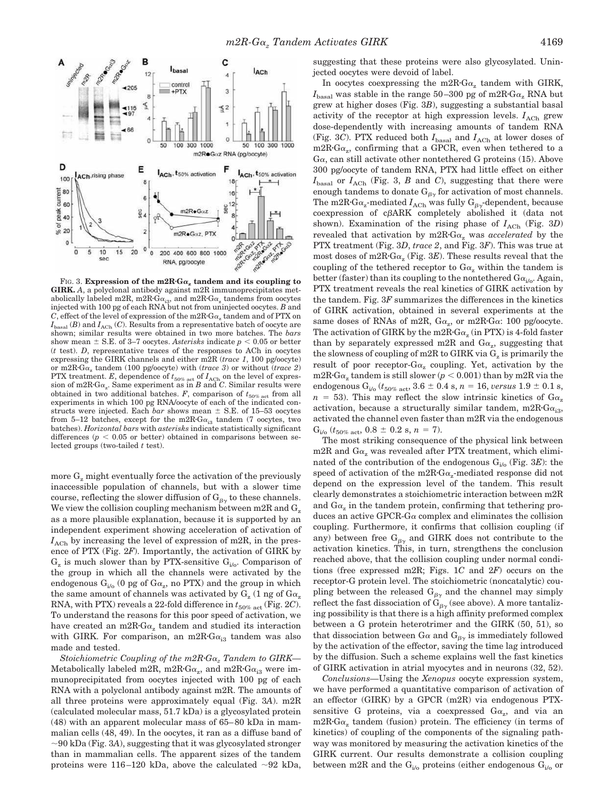

FIG. 3. **Expression of the m2R·G** $\alpha$ **<sub>z</sub> tandem and its coupling to GIRK.** *A*, a polyclonal antibody against m2R immunoprecipitates metabolically labeled m2R, m2R·G $\alpha_{i3}$ , and m2R·G $\alpha_{z}$  tandems from oocytes injected with 100 pg of each RNA but not from uninjected oocytes. *B* and  $C$ , effect of the level of expression of the m2R·G $\alpha$ <sub>z</sub> tandem and of PTX on  $I_{\text{basal}}(B)$  and  $I_{\text{ACh}}(C)$ . Results from a representative batch of oocyte are shown; similar results were obtained in two more batches. The *bars* show mean  $\pm$  S.E. of 3–7 oocytes. Asterisks indicate  $p < 0.05$  or better (*t* test). *D*, representative traces of the responses to ACh in oocytes expressing the GIRK channels and either m2R (*trace 1*, 100 pg/oocyte) or m2R·G $\alpha$ <sub>z</sub> tandem (100 pg/oocyte) with (*trace 3*) or without (*trace 2*) PTX treatment. *E*, dependence of  $t_{50\% \text{ act}}$  of  $I_{\text{ACh}}$  on the level of expression of m2R·G $\alpha_z$ . Same experiment as in *B* and *C*. Similar results were obtained in two additional batches. *F*, comparison of  $t_{50\%\text{ act}}$  from all experiments in which 100 pg RNA/oocyte of each of the indicated constructs were injected. Each *bar* shows mean  $\pm$  S.E. of 15–53 oocytes from 5–12 batches, except for the m2R $G_{\alpha_{i3}}$  tandem (7 oocytes, two batches). *Horizontal bars* with *asterisks* indicate statistically significant differences  $(p < 0.05$  or better) obtained in comparisons between selected groups (two-tailed *t* test).

more  $G<sub>z</sub>$  might eventually force the activation of the previously inaccessible population of channels, but with a slower time course, reflecting the slower diffusion of  $G_{\beta\gamma}$  to these channels. We view the collision coupling mechanism between m2R and  $G_z$ as a more plausible explanation, because it is supported by an independent experiment showing acceleration of activation of  $I_{\text{ACh}}$  by increasing the level of expression of m2R, in the presence of PTX (Fig. 2*F*). Importantly, the activation of GIRK by  $G_z$  is much slower than by PTX-sensitive  $G_{i/0}$ . Comparison of the group in which all the channels were activated by the endogenous  $G_{i/o}$  (0 pg of  $Ga_z$ , no PTX) and the group in which the same amount of channels was activated by  $\mathrm{G}_{\mathrm{z}}$  (1 ng of  $\mathrm{G}\alpha_{\mathrm{z}}$ RNA, with PTX) reveals a 22-fold difference in  $t_{50\%\text{ act}}$  (Fig. 2*C*). To understand the reasons for this poor speed of activation, we have created an  $m2R \cdot G_{\alpha_z}$  tandem and studied its interaction with GIRK. For comparison, an m2R·G $\alpha_{i3}$  tandem was also made and tested.

*Stoichiometric Coupling of the m2R<sup><i>G*</sup><sub>*G*</sub><sup>*z*</sup> *Tandem to GIRK—* Metabolically labeled m2R, m2R·G $\alpha_{\rm z}$ , and m2R·G $\alpha_{\rm i3}$  were immunoprecipitated from oocytes injected with 100 pg of each RNA with a polyclonal antibody against m2R. The amounts of all three proteins were approximately equal (Fig. 3*A*). m2R (calculated molecular mass, 51.7 kDa) is a glycosylated protein (48) with an apparent molecular mass of 65–80 kDa in mammalian cells (48, 49). In the oocytes, it ran as a diffuse band of  $\sim$ 90 kDa (Fig. 3*A*), suggesting that it was glycosylated stronger than in mammalian cells. The apparent sizes of the tandem proteins were 116–120 kDa, above the calculated  $\sim$ 92 kDa,

suggesting that these proteins were also glycosylated. Uninjected oocytes were devoid of label.

In oocytes coexpressing the  $m2R·G\alpha_z$  tandem with GIRK,  $I_{\text{basal}}$  was stable in the range 50–300 pg of m2R·G $\alpha_{\text{z}}$  RNA but grew at higher doses (Fig. 3*B*), suggesting a substantial basal activity of the receptor at high expression levels.  $I_{\text{ACh}}$  grew dose-dependently with increasing amounts of tandem RNA (Fig. 3*C*). PTX reduced both  $I_{\text{basal}}$  and  $I_{\text{ACh}}$  at lower doses of  $m2R \cdot G\alpha_z$ , confirming that a GPCR, even when tethered to a  $Ga$ , can still activate other nontethered G proteins (15). Above 300 pg/oocyte of tandem RNA, PTX had little effect on either  $I_{\text{basal}}$  or  $I_{\text{ACh}}$  (Fig. 3, *B* and *C*), suggesting that there were enough tandems to donate  $G_{\beta\gamma}$  for activation of most channels. The m2R·G $\alpha_z$ -mediated  $I_{\text{ACh}}$  was fully G<sub> $\beta_Y$ </sub>-dependent, because  $coexpression$  of  $c\beta ARK$  completely abolished it (data not shown). Examination of the rising phase of  $I_{\text{ACh}}$  (Fig. 3*D*) revealed that activation by  $m2R \cdot Ga_z$  was *accelerated* by the PTX treatment (Fig. 3*D*, *trace 2*, and Fig. 3*F*). This was true at most doses of  $\text{m}2\text{R} \cdot \text{G}\alpha_z$  (Fig. 3*E*). These results reveal that the coupling of the tethered receptor to  $Ga<sub>z</sub>$  within the tandem is better (faster) than its coupling to the nontethered  $G\alpha_{i\alpha}$ . Again, PTX treatment reveals the real kinetics of GIRK activation by the tandem. Fig. 3*F* summarizes the differences in the kinetics of GIRK activation, obtained in several experiments at the same doses of RNAs of m2R,  $Ga_z$ , or m2R· $Ga$ : 100 pg/oocyte. The activation of GIRK by the m2R·G $\alpha$ <sub>z</sub> (in PTX) is 4-fold faster than by separately expressed m2R and  $Ga_z$ , suggesting that the slowness of coupling of m2R to GIRK via  $\mathrm{G}_{\mathrm{z}}$  is primarily the result of poor receptor- $Ga_z$  coupling. Yet, activation by the  $m2R \cdot G\alpha_z$  tandem is still slower ( $p < 0.001$ ) than by m2R via the endogenous  $G_{i/0}$  ( $t_{50\%}$  act, 3.6  $\pm$  0.4 s, *n* = 16, *versus* 1.9  $\pm$  0.1 s,  $n = 53$ ). This may reflect the slow intrinsic kinetics of  $Ga<sub>z</sub>$ activation, because a structurally similar tandem, m2R $G_{\alpha_{i3}}$ , activated the channel even faster than m2R via the endogenous  $G_{i/0}$  ( $t_{50\%}$  act, 0.8  $\pm$  0.2 s, n = 7).

The most striking consequence of the physical link between m2R and  $Ga<sub>z</sub>$  was revealed after PTX treatment, which eliminated of the contribution of the endogenous  $G_{i/o}$  (Fig. 3*E*): the speed of activation of the m2R·G $\alpha_{\rm z}$ -mediated response did not depend on the expression level of the tandem. This result clearly demonstrates a stoichiometric interaction between m2R and  $Ga<sub>z</sub>$  in the tandem protein, confirming that tethering produces an active GPCR-G $\alpha$  complex and eliminates the collision coupling. Furthermore, it confirms that collision coupling (if any) between free  $G_{\beta\gamma}$  and GIRK does not contribute to the activation kinetics. This, in turn, strengthens the conclusion reached above, that the collision coupling under normal conditions (free expressed m2R; Figs. 1*C* and 2*F*) occurs on the receptor-G protein level. The stoichiometric (noncatalytic) coupling between the released  $G_{\beta\gamma}$  and the channel may simply reflect the fast dissociation of  $G_{\beta\gamma}$  (see above). A more tantalizing possibility is that there is a high affinity preformed complex between a G protein heterotrimer and the GIRK (50, 51), so that dissociation between G $\alpha$  and  $G_{\beta\gamma}$  is immediately followed by the activation of the effector, saving the time lag introduced by the diffusion. Such a scheme explains well the fast kinetics of GIRK activation in atrial myocytes and in neurons (32, 52).

*Conclusions—*Using the *Xenopus* oocyte expression system, we have performed a quantitative comparison of activation of an effector (GIRK) by a GPCR (m2R) via endogenous PTXsensitive G proteins, via a coexpressed  $Ga_z$ , and via an  $m2R \cdot G\alpha_z$  tandem (fusion) protein. The efficiency (in terms of kinetics) of coupling of the components of the signaling pathway was monitored by measuring the activation kinetics of the GIRK current. Our results demonstrate a collision coupling between m2R and the  $G_{i/0}$  proteins (either endogenous  $G_{i/0}$  or